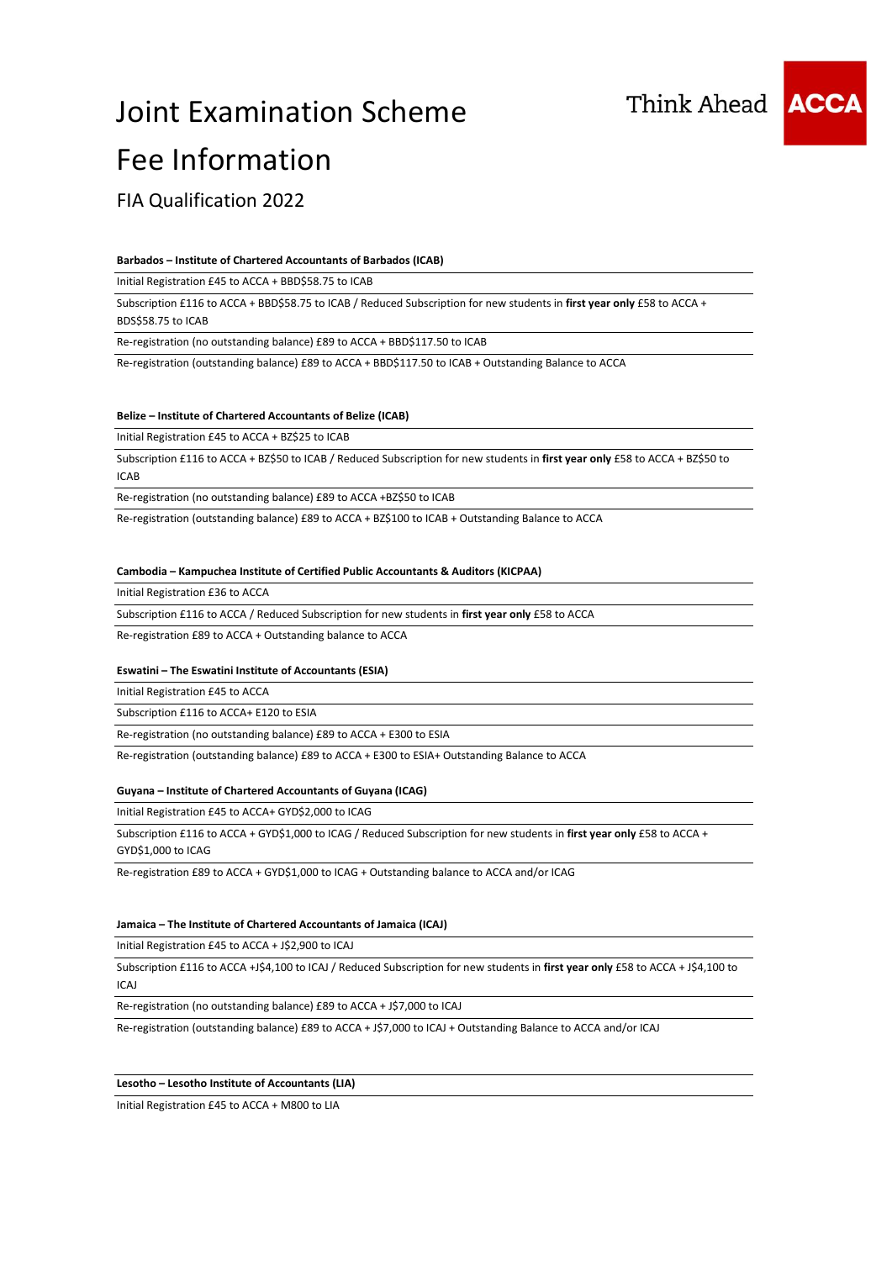



FIA Qualification 2022

#### **Barbados – Institute of Chartered Accountants of Barbados (ICAB)**

Initial Registration £45 to ACCA + BBD\$58.75 to ICAB

Subscription £116 to ACCA + BBD\$58.75 to ICAB / Reduced Subscription for new students in **first year only** £58 to ACCA + BDS\$58.75 to ICAB

Re-registration (no outstanding balance) £89 to ACCA + BBD\$117.50 to ICAB

Re-registration (outstanding balance) £89 to ACCA + BBD\$117.50 to ICAB + Outstanding Balance to ACCA

#### **Belize – Institute of Chartered Accountants of Belize (ICAB)**

Initial Registration £45 to ACCA + BZ\$25 to ICAB

Subscription £116 to ACCA + BZ\$50 to ICAB / Reduced Subscription for new students in **first year only** £58 to ACCA + BZ\$50 to ICAB

Re-registration (no outstanding balance) £89 to ACCA +BZ\$50 to ICAB

Re-registration (outstanding balance) £89 to ACCA + BZ\$100 to ICAB + Outstanding Balance to ACCA

#### **Cambodia – Kampuchea Institute of Certified Public Accountants & Auditors (KICPAA)**

Initial Registration £36 to ACCA

Subscription £116 to ACCA / Reduced Subscription for new students in **first year only** £58 to ACCA

Re-registration £89 to ACCA + Outstanding balance to ACCA

#### **Eswatini – The Eswatini Institute of Accountants (ESIA)**

Initial Registration £45 to ACCA

Subscription £116 to ACCA+ E120 to ESIA

Re-registration (no outstanding balance) £89 to ACCA + E300 to ESIA

Re-registration (outstanding balance) £89 to ACCA + E300 to ESIA+ Outstanding Balance to ACCA

#### **Guyana – Institute of Chartered Accountants of Guyana (ICAG)**

Initial Registration £45 to ACCA+ GYD\$2,000 to ICAG

Subscription £116 to ACCA + GYD\$1,000 to ICAG / Reduced Subscription for new students in **first year only** £58 to ACCA + GYD\$1,000 to ICAG

Re-registration £89 to ACCA + GYD\$1,000 to ICAG + Outstanding balance to ACCA and/or ICAG

#### **Jamaica – The Institute of Chartered Accountants of Jamaica (ICAJ)**

Initial Registration £45 to ACCA + J\$2,900 to ICAJ

Subscription £116 to ACCA +J\$4,100 to ICAJ / Reduced Subscription for new students in **first year only** £58 to ACCA + J\$4,100 to ICAJ

Re-registration (no outstanding balance) £89 to ACCA + J\$7,000 to ICAJ

Re-registration (outstanding balance) £89 to ACCA + J\$7,000 to ICAJ + Outstanding Balance to ACCA and/or ICAJ

#### **Lesotho – Lesotho Institute of Accountants (LIA)**

Initial Registration £45 to ACCA + M800 to LIA